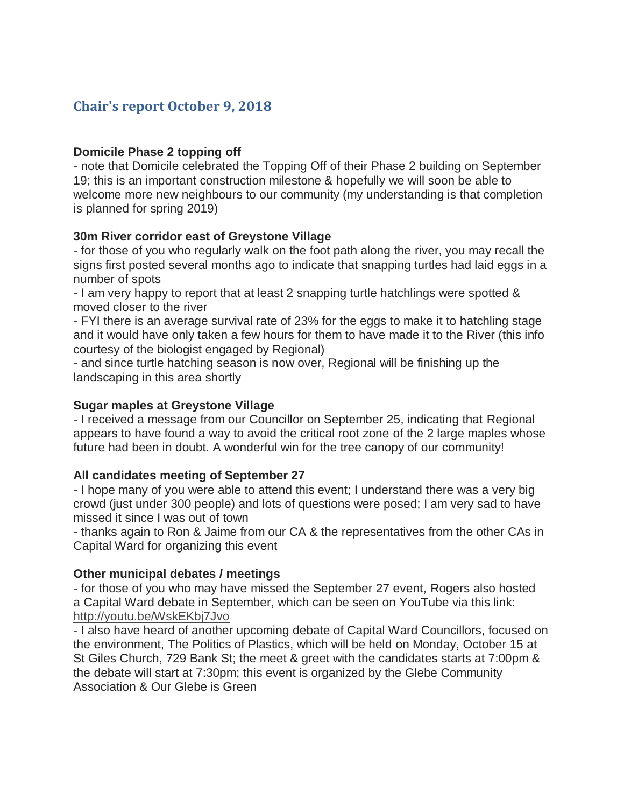# **Chair's report October 9, 2018**

### **Domicile Phase 2 topping off**

- note that Domicile celebrated the Topping Off of their Phase 2 building on September 19; this is an important construction milestone & hopefully we will soon be able to welcome more new neighbours to our community (my understanding is that completion is planned for spring 2019)

#### **30m River corridor east of Greystone Village**

- for those of you who regularly walk on the foot path along the river, you may recall the signs first posted several months ago to indicate that snapping turtles had laid eggs in a number of spots

- I am very happy to report that at least 2 snapping turtle hatchlings were spotted & moved closer to the river

- FYI there is an average survival rate of 23% for the eggs to make it to hatchling stage and it would have only taken a few hours for them to have made it to the River (this info courtesy of the biologist engaged by Regional)

- and since turtle hatching season is now over, Regional will be finishing up the landscaping in this area shortly

### **Sugar maples at Greystone Village**

- I received a message from our Councillor on September 25, indicating that Regional appears to have found a way to avoid the critical root zone of the 2 large maples whose future had been in doubt. A wonderful win for the tree canopy of our community!

#### **All candidates meeting of September 27**

- I hope many of you were able to attend this event; I understand there was a very big crowd (just under 300 people) and lots of questions were posed; I am very sad to have missed it since I was out of town

- thanks again to Ron & Jaime from our CA & the representatives from the other CAs in Capital Ward for organizing this event

### **Other municipal debates / meetings**

- for those of you who may have missed the September 27 event, Rogers also hosted a Capital Ward debate in September, which can be seen on YouTube via this link: <http://youtu.be/WskEKbj7Jvo>

- I also have heard of another upcoming debate of Capital Ward Councillors, focused on the environment, The Politics of Plastics, which will be held on Monday, October 15 at St Giles Church, 729 Bank St; the meet & greet with the candidates starts at 7:00pm & the debate will start at 7:30pm; this event is organized by the Glebe Community Association & Our Glebe is Green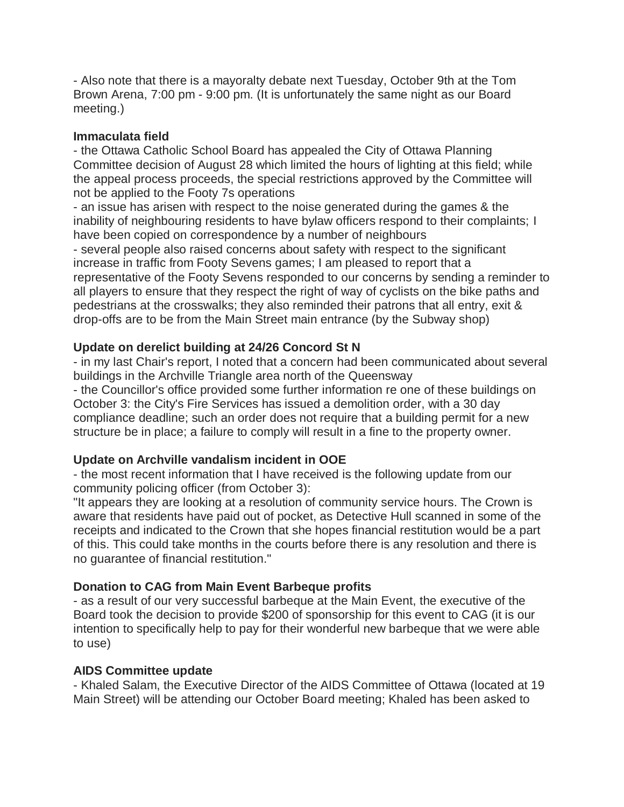- Also note that there is a mayoralty debate next Tuesday, October 9th at the Tom Brown Arena, 7:00 pm - 9:00 pm. (It is unfortunately the same night as our Board meeting.)

### **Immaculata field**

- the Ottawa Catholic School Board has appealed the City of Ottawa Planning Committee decision of August 28 which limited the hours of lighting at this field; while the appeal process proceeds, the special restrictions approved by the Committee will not be applied to the Footy 7s operations

- an issue has arisen with respect to the noise generated during the games & the inability of neighbouring residents to have bylaw officers respond to their complaints; I have been copied on correspondence by a number of neighbours - several people also raised concerns about safety with respect to the significant increase in traffic from Footy Sevens games; I am pleased to report that a representative of the Footy Sevens responded to our concerns by sending a reminder to all players to ensure that they respect the right of way of cyclists on the bike paths and pedestrians at the crosswalks; they also reminded their patrons that all entry, exit & drop-offs are to be from the Main Street main entrance (by the Subway shop)

## **Update on derelict building at 24/26 Concord St N**

- in my last Chair's report, I noted that a concern had been communicated about several buildings in the Archville Triangle area north of the Queensway

- the Councillor's office provided some further information re one of these buildings on October 3: the City's Fire Services has issued a demolition order, with a 30 day compliance deadline; such an order does not require that a building permit for a new structure be in place; a failure to comply will result in a fine to the property owner.

## **Update on Archville vandalism incident in OOE**

- the most recent information that I have received is the following update from our community policing officer (from October 3):

"It appears they are looking at a resolution of community service hours. The Crown is aware that residents have paid out of pocket, as Detective Hull scanned in some of the receipts and indicated to the Crown that she hopes financial restitution would be a part of this. This could take months in the courts before there is any resolution and there is no guarantee of financial restitution."

## **Donation to CAG from Main Event Barbeque profits**

- as a result of our very successful barbeque at the Main Event, the executive of the Board took the decision to provide \$200 of sponsorship for this event to CAG (it is our intention to specifically help to pay for their wonderful new barbeque that we were able to use)

## **AIDS Committee update**

- Khaled Salam, the Executive Director of the AIDS Committee of Ottawa (located at 19 Main Street) will be attending our October Board meeting; Khaled has been asked to